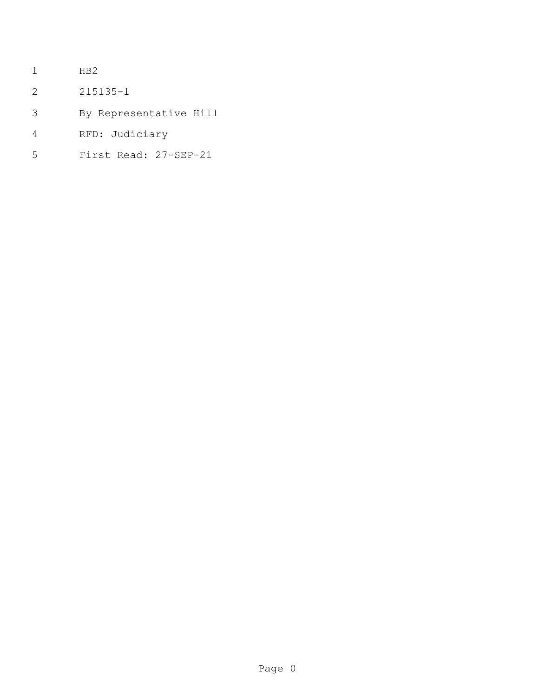- HB2
- 215135-1
- By Representative Hill
- RFD: Judiciary
- First Read: 27-SEP-21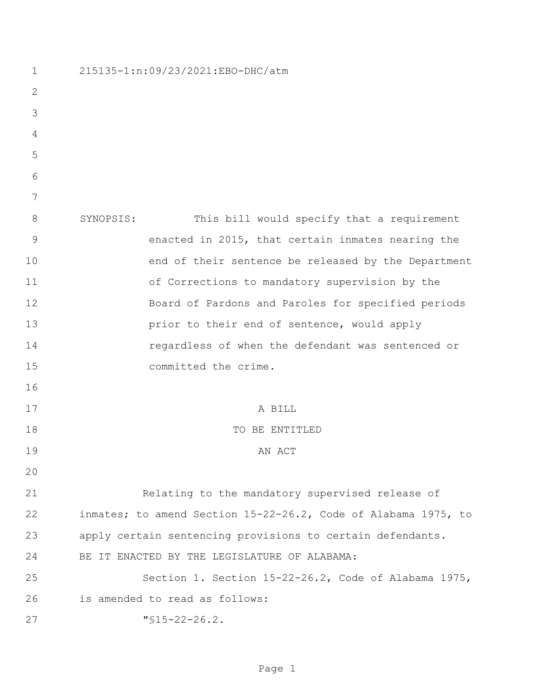| $\mathbf 1$   | 215135-1:n:09/23/2021:EBO-DHC/atm                              |
|---------------|----------------------------------------------------------------|
| $\mathbf{2}$  |                                                                |
| 3             |                                                                |
| 4             |                                                                |
| 5             |                                                                |
| 6             |                                                                |
| 7             |                                                                |
| 8             | SYNOPSIS:<br>This bill would specify that a requirement        |
| $\mathcal{G}$ | enacted in 2015, that certain inmates nearing the              |
| 10            | end of their sentence be released by the Department            |
| 11            | of Corrections to mandatory supervision by the                 |
| 12            | Board of Pardons and Paroles for specified periods             |
| 13            | prior to their end of sentence, would apply                    |
| 14            | regardless of when the defendant was sentenced or              |
| 15            | committed the crime.                                           |
| 16            |                                                                |
| 17            | A BILL                                                         |
| 18            | TO BE ENTITLED                                                 |
| 19            | AN ACT                                                         |
| 20            |                                                                |
| 21            | Relating to the mandatory supervised release of                |
| 22            | inmates; to amend Section 15-22-26.2, Code of Alabama 1975, to |
| 23            | apply certain sentencing provisions to certain defendants.     |
| 24            | BE IT ENACTED BY THE LEGISLATURE OF ALABAMA:                   |
| 25            | Section 1. Section 15-22-26.2, Code of Alabama 1975,           |
| 26            | is amended to read as follows:                                 |
| 27            | $"$ \$15-22-26.2.                                              |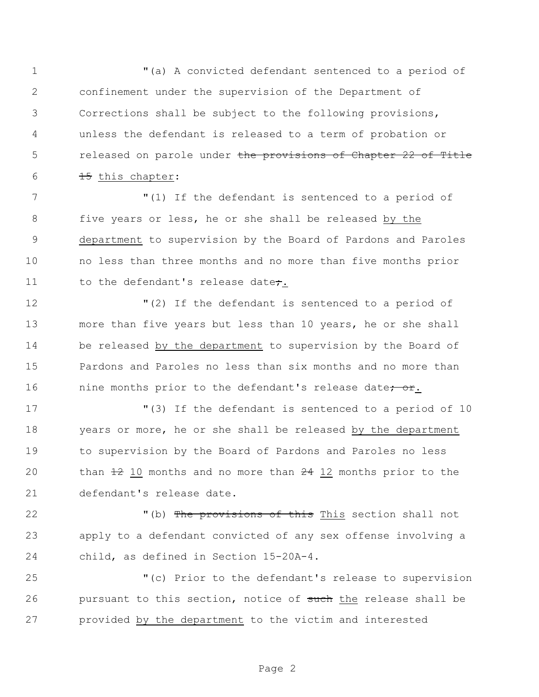"(a) A convicted defendant sentenced to a period of confinement under the supervision of the Department of Corrections shall be subject to the following provisions, unless the defendant is released to a term of probation or 5 released on parole under the provisions of Chapter 22 of Title  $\frac{15}{15}$  this chapter:

 "(1) If the defendant is sentenced to a period of five years or less, he or she shall be released by the department to supervision by the Board of Pardons and Paroles no less than three months and no more than five months prior 11 to the defendant's release date;

 "(2) If the defendant is sentenced to a period of more than five years but less than 10 years, he or she shall be released by the department to supervision by the Board of Pardons and Paroles no less than six months and no more than 16 inconthingthe nine months prior to the defendant's release date; or.

 "(3) If the defendant is sentenced to a period of 10 years or more, he or she shall be released by the department to supervision by the Board of Pardons and Paroles no less 20 than  $\pm 2$  10 months and no more than  $\pm 4$  12 months prior to the defendant's release date.

22 The provisions of this This section shall not apply to a defendant convicted of any sex offense involving a child, as defined in Section 15-20A-4.

 "(c) Prior to the defendant's release to supervision 26 pursuant to this section, notice of such the release shall be provided by the department to the victim and interested